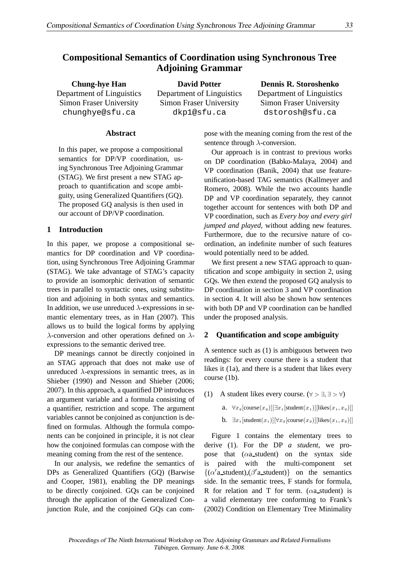# **Compositional Semantics of Coordination using Synchronous Tree Adjoining Grammar**

**Chung-hye Han** Department of Linguistics Simon Fraser University chunghye@sfu.ca

**David Potter** Department of Linguistics Simon Fraser University dkp1@sfu.ca

**Dennis R. Storoshenko** Department of Linguistics Simon Fraser University dstorosh@sfu.ca

## **Abstract**

In this paper, we propose a compositional semantics for DP/VP coordination, using Synchronous Tree Adjoining Grammar (STAG). We first present a new STAG approach to quantification and scope ambiguity, using Generalized Quantifiers (GQ). The proposed GQ analysis is then used in our account of DP/VP coordination.

#### **1 Introduction**

In this paper, we propose a compositional semantics for DP coordination and VP coordination, using Synchronous Tree Adjoining Grammar (STAG). We take advantage of STAG's capacity to provide an isomorphic derivation of semantic trees in parallel to syntactic ones, using substitution and adjoining in both syntax and semantics. In addition, we use unreduced  $\lambda$ -expressions in semantic elementary trees, as in Han (2007). This allows us to build the logical forms by applying  $\lambda$ -conversion and other operations defined on  $\lambda$ expressions to the semantic derived tree.

DP meanings cannot be directly conjoined in an STAG approach that does not make use of unreduced  $\lambda$ -expressions in semantic trees, as in Shieber (1990) and Nesson and Shieber (2006; 2007). In this approach, a quantified DP introduces an argument variable and a formula consisting of a quantifier, restriction and scope. The argument variables cannot be conjoined as conjunction is defined on formulas. Although the formula components can be conjoined in principle, it is not clear how the conjoined formulas can compose with the meaning coming from the rest of the sentence.

In our analysis, we redefine the semantics of DPs as Generalized Quantifiers (GQ) (Barwise and Cooper, 1981), enabling the DP meanings to be directly conjoined. GQs can be conjoined through the application of the Generalized Conjunction Rule, and the conjoined GQs can compose with the meaning coming from the rest of the sentence through  $\lambda$ -conversion.

Our approach is in contrast to previous works on DP coordination (Babko-Malaya, 2004) and VP coordination (Banik, 2004) that use featureunification-based TAG semantics (Kallmeyer and Romero, 2008). While the two accounts handle DP and VP coordination separately, they cannot together account for sentences with both DP and VP coordination, such as *Every boy and every girl jumped and played*, without adding new features. Furthermore, due to the recursive nature of coordination, an indefinite number of such features would potentially need to be added.

We first present a new STAG approach to quantification and scope ambiguity in section 2, using GQs. We then extend the proposed GQ analysis to DP coordination in section 3 and VP coordination in section 4. It will also be shown how sentences with both DP and VP coordination can be handled under the proposed analysis.

## **2 Quantification and scope ambiguity**

A sentence such as (1) is ambiguous between two readings: for every course there is a student that likes it (1a), and there is a student that likes every course (1b).

(1) A student likes every course.  $(\forall > \exists, \exists > \forall)$ 

a.  $\forall x_2$ [course $(x_2)$ ][ $\exists x_1$ [student $(x_1)$ ][likes $(x_1, x_2)$ ]] b.  $\exists x_1[\text{student}(x_1)][\forall x_2[\text{course}(x_2)][\text{likes}(x_1, x_2)]]$ 

Figure 1 contains the elementary trees to derive (1). For the DP *a student*, we propose that  $(\alpha a_{\text{1}} - s)$  on the syntax side is paired with the multi-component set  $\{(\alpha'$  a\_student),  $(\beta'$  a\_student) on the semantics side. In the semantic trees, F stands for formula, R for relation and T for term.  $(\alpha a_$ -student) is a valid elementary tree conforming to Frank's (2002) Condition on Elementary Tree Minimality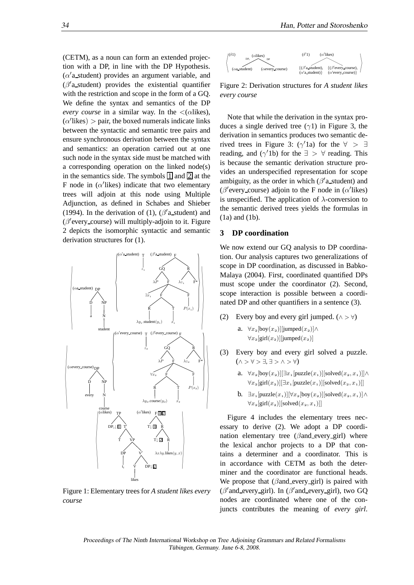(CETM), as a noun can form an extended projection with a DP, in line with the DP Hypothesis.  $(\alpha'$ a\_student) provides an argument variable, and  $(\beta'$ a\_student) provides the existential quantifier with the restriction and scope in the form of a GQ. We define the syntax and semantics of the DP *every course* in a similar way. In the  $\langle$  ( $\alpha$ likes),  $(\alpha'$ likes) > pair, the boxed numerals indicate links between the syntactic and semantic tree pairs and ensure synchronous derivation between the syntax and semantics: an operation carried out at one such node in the syntax side must be matched with a corresponding operation on the linked node(s) in the semantics side. The symbols  $\boxed{1}$  and  $\boxed{2}$  at the F node in  $(\alpha'$ likes) indicate that two elementary trees will adjoin at this node using Multiple Adjunction, as defined in Schabes and Shieber (1994). In the derivation of (1),  $(\beta'$ a\_student) and (β ′ every course) will multiply-adjoin to it. Figure 2 depicts the isomorphic syntactic and semantic derivation structures for (1).



Figure 1: Elementary trees for *A student likes every course*



Figure 2: Derivation structures for *A student likes every course*

Note that while the derivation in the syntax produces a single derived tree ( $\gamma$ 1) in Figure 3, the derivation in semantics produces two semantic derived trees in Figure 3:  $(\gamma'1a)$  for the  $\forall$  >  $\exists$ reading, and  $(\gamma'1b)$  for the  $\exists > \forall$  reading. This is because the semantic derivation structure provides an underspecified representation for scope ambiguity, as the order in which  $(\beta'$ a\_student) and ( $\beta$ 'every\_course) adjoin to the F node in ( $\alpha$ 'likes) is unspecified. The application of  $\lambda$ -conversion to the semantic derived trees yields the formulas in (1a) and (1b).

# **3 DP coordination**

We now extend our GO analysis to DP coordination. Our analysis captures two generalizations of scope in DP coordination, as discussed in Babko-Malaya (2004). First, coordinated quantified DPs must scope under the coordinator (2). Second, scope interaction is possible between a coordinated DP and other quantifiers in a sentence (3).

(2) Every boy and every girl jumped.  $(\wedge > \forall)$ 

a. ∀ $x_2$ [boy( $x_2$ )][jumped( $x_2$ )]∧  $\forall x_2$ [girl( $x_2$ )][jumped( $x_2$ )]

- (3) Every boy and every girl solved a puzzle. (∧ > ∀ > ∃, ∃ > ∧ > ∀)
	- a.  $\forall x_2[boy(x_2)][\exists x_1[puzzle(x_1)][solve(x_2, x_1)]\wedge$  $\forall x_2$ [girl(x<sub>2</sub>)][ $\exists x_1$ [puzzle(x<sub>1</sub>)][solved(x<sub>2</sub>, x<sub>1</sub>)]]
	- b.  $\exists x_1[puzzle(x_1)][\forall x_2[boy(x_2)][solved(x_2, x_1)]\wedge$  $\forall x_2$ [girl( $x_2$ )][solved( $x_2, x_1$ )]]

Figure 4 includes the elementary trees necessary to derive (2). We adopt a DP coordination elementary tree ( $\beta$ and every girl) where the lexical anchor projects to a DP that contains a determiner and a coordinator. This is in accordance with CETM as both the determiner and the coordinator are functional heads. We propose that  $(\beta$ and every girl) is paired with  $(\beta'$  and every girl). In  $(\beta'$  and every girl), two GQ nodes are coordinated where one of the conjuncts contributes the meaning of *every girl*.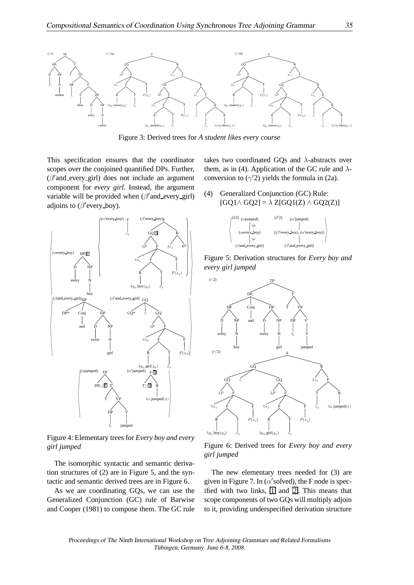

Figure 3: Derived trees for *A student likes every course*

This specification ensures that the coordinator scopes over the conjoined quantified DPs. Further, (β ′ and every girl) does not include an argument component for *every girl*. Instead, the argument variable will be provided when (β'and\_every\_girl) adjoins to  $(\beta'$  every\_boy).



Figure 4: Elementary trees for *Every boy and every girl jumped*

The isomorphic syntactic and semantic derivation structures of (2) are in Figure 5, and the syntactic and semantic derived trees are in Figure 6.

As we are coordinating GQs, we can use the Generalized Conjunction (GC) rule of Barwise and Cooper (1981) to compose them. The GC rule takes two coordinated GQs and  $\lambda$ -abstracts over them, as in (4). Application of the GC rule and  $\lambda$ conversion to  $(\gamma'2)$  yields the formula in (2a).

(4) Generalized Conjunction (GC) Rule:  $[GQ1 \wedge GQ2] = \lambda Z[GQ1(Z) \wedge GQ2(Z)]$ 



Figure 5: Derivation structures for *Every boy and every girl jumped*



Figure 6: Derived trees for *Every boy and every girl jumped*

The new elementary trees needed for (3) are given in Figure 7. In ( $\alpha$ 'solved), the F node is specified with two links,  $\boxed{1}$  and  $\boxed{2}$ . This means that scope components of two GQs will multiply adjoin to it, providing underspecified derivation structure

Proceedings of The Ninth International Workshop on Tree Adjoining Grammars and Related Formalisms Tübingen, Germany. June 6-8, 2008.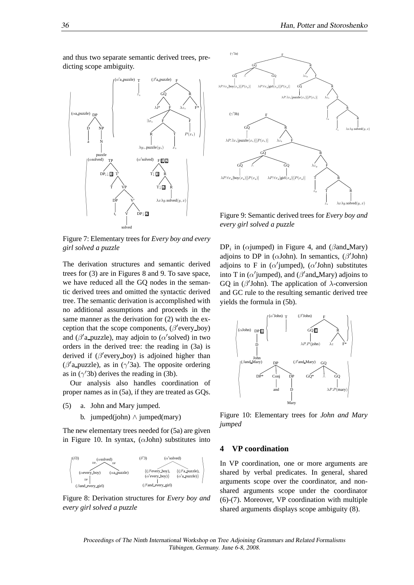

Figure 7: Elementary trees for *Every boy and every girl solved a puzzle*

The derivation structures and semantic derived trees for (3) are in Figures 8 and 9. To save space, we have reduced all the GQ nodes in the semantic derived trees and omitted the syntactic derived tree. The semantic derivation is accomplished with no additional assumptions and proceeds in the same manner as the derivation for (2) with the exception that the scope components,  $(\beta'$ every\_boy) and ( $\beta'$ a\_puzzle), may adjoin to ( $\alpha'$ solved) in two orders in the derived tree: the reading in (3a) is derived if  $(\beta'$ every\_boy) is adjoined higher than ( $\beta'$ a\_puzzle), as in ( $\gamma'$ 3a). The opposite ordering as in  $(\gamma'3b)$  derives the reading in (3b).

Our analysis also handles coordination of proper names as in (5a), if they are treated as GQs.

- (5) a. John and Mary jumped.
	- b. jumped(john) ∧ jumped(mary)

The new elementary trees needed for (5a) are given in Figure 10. In syntax,  $(\alpha$ John) substitutes into



Figure 8: Derivation structures for *Every boy and every girl solved a puzzle*



Figure 9: Semantic derived trees for *Every boy and every girl solved a puzzle*

 $DP_i$  in ( $\alpha$ jumped) in Figure 4, and ( $\beta$ and Mary) adjoins to DP in ( $\alpha$ John). In semantics, ( $\beta'$ John) adjoins to F in ( $\alpha'$ jumped), ( $\alpha'$ John) substitutes into T in ( $\alpha'$ jumped), and ( $\beta'$ and\_Mary) adjoins to GQ in ( $\beta'$ John). The application of  $\lambda$ -conversion and GC rule to the resulting semantic derived tree yields the formula in (5b).



Figure 10: Elementary trees for *John and Mary jumped*

# **4 VP coordination**

In VP coordination, one or more arguments are shared by verbal predicates. In general, shared arguments scope over the coordinator, and nonshared arguments scope under the coordinator (6)-(7). Moreover, VP coordination with multiple shared arguments displays scope ambiguity (8).

Proceedings of The Ninth International Workshop on Tree Adjoining Grammars and Related Formalisms Tübingen, Germany. June 6-8, 2008.

and thus two separate semantic derived trees, predicting scope ambiguity.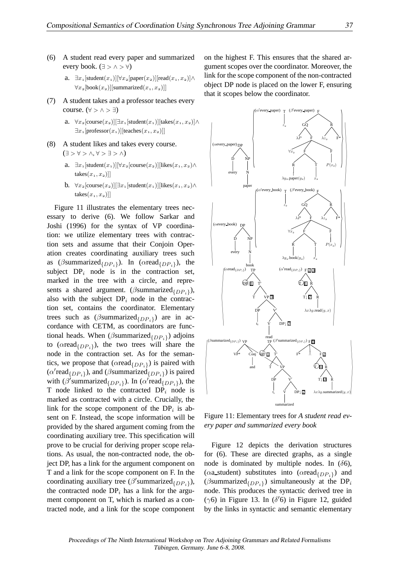- (6) A student read every paper and summarized every book. ( $\exists$  >  $\land$  >  $\forall$ )
	- a.  $\exists x_1$ [student $(x_1)$ ][ $\forall x_2$ [paper $(x_2)$ ][read $(x_1, x_2)$ ]∧  $\forall x_2$ [book $(x_2)$ ][summarized $(x_1, x_2)$ ]]
- (7) A student takes and a professor teaches every course. ( $\forall$  >  $\land$  >  $\exists$ )
	- a.  $\forall x_2$ [course(x<sub>2</sub>)][∃x<sub>1</sub>[student(x<sub>1</sub>)][takes(x<sub>1</sub>, x<sub>2</sub>)]∧  $\exists x_1$ [professor( $x_1$ )][teaches( $x_1, x_2$ )]]
- (8) A student likes and takes every course.  $(\exists > \forall > \wedge, \forall > \exists > \wedge)$ 
	- a.  $\exists x_1$ [student $(x_1)[\forall x_2$ [course $(x_2)]$ [likes $(x_1, x_2)\wedge$ takes $(x_1, x_2)$ ]
	- b.  $\forall x_2$ [course(x<sub>2</sub>)][∃x<sub>1</sub>[student(x<sub>1</sub>)][likes(x<sub>1</sub>, x<sub>2</sub>)∧ takes $(x_1, x_2)$ ]

Figure 11 illustrates the elementary trees necessary to derive (6). We follow Sarkar and Joshi (1996) for the syntax of VP coordination: we utilize elementary trees with contraction sets and assume that their Conjoin Operation creates coordinating auxiliary trees such as ( $\beta$ summarized $_{\{DP_i\}}$ ). In ( $\alpha$ read $_{\{DP_i\}}$ ), the subject  $DP<sub>i</sub>$  node is in the contraction set, marked in the tree with a circle, and represents a shared argument. ( $\beta$ summarized $_{\{DP_i\}}$ ), also with the subject  $DP<sub>i</sub>$  node in the contraction set, contains the coordinator. Elementary trees such as  $(\beta$ summarized $_{\{DP_i\}})$  are in accordance with CETM, as coordinators are functional heads. When ( $\beta$ summarized $_{\{DP_i\}}$ ) adjoins to ( $\alpha$ read $_{\{DP_i\}}$ ), the two trees will share the node in the contraction set. As for the semantics, we propose that  $(\alpha \text{read}_{\{DP_i\}})$  is paired with  $(\alpha' \text{read}_{\{DP_i\}})$ , and  $(\beta \text{summarized}_{\{DP_i\}})$  is paired with ( $\beta$ 'summarized $_{\{DP_i\}}$ ). In ( $\alpha$ 'read $_{\{DP_i\}}$ ), the T node linked to the contracted  $DP<sub>i</sub>$  node is marked as contracted with a circle. Crucially, the link for the scope component of the  $DP_i$  is absent on F. Instead, the scope information will be provided by the shared argument coming from the coordinating auxiliary tree. This specification will prove to be crucial for deriving proper scope relations. As usual, the non-contracted node, the object DP, has a link for the argument component on T and a link for the scope component on F. In the coordinating auxiliary tree ( $\beta'$ summarized $_{\{DP_i\}}$ ), the contracted node  $DP<sub>i</sub>$  has a link for the argument component on T, which is marked as a contracted node, and a link for the scope component

on the highest F. This ensures that the shared argument scopes over the coordinator. Moreover, the link for the scope component of the non-contracted object DP node is placed on the lower F, ensuring that it scopes below the coordinator.



Figure 11: Elementary trees for *A student read every paper and summarized every book*

Figure 12 depicts the derivation structures for (6). These are directed graphs, as a single node is dominated by multiple nodes. In  $(\delta 6)$ , ( $\alpha$ a\_student) substitutes into ( $\alpha$ read $_{\{DP_i\}}$ ) and ( $\beta$ summarized $_{\{DP_i\}}$ ) simultaneously at the DP<sub>i</sub> node. This produces the syntactic derived tree in ( $\gamma$ 6) in Figure 13. In ( $\delta$ '6) in Figure 12, guided by the links in syntactic and semantic elementary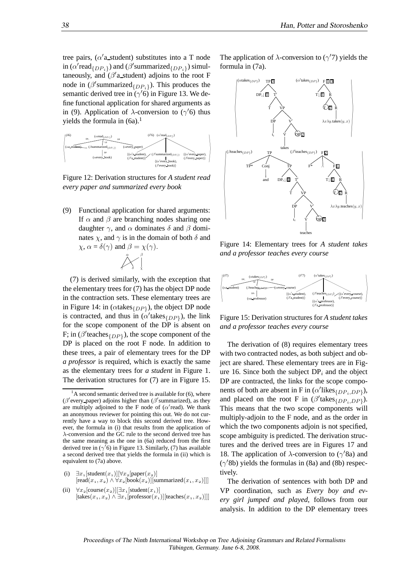tree pairs,  $(\alpha'$ a\_student) substitutes into a T node in ( $\alpha'$ read $_{\{DP_i\}}$ ) and ( $\beta'$ summarized $_{\{DP_i\}}$ ) simultaneously, and  $(\beta'$ a\_student) adjoins to the root F node in  $(\beta'$ summarized $_{\{DP_i\}})$ . This produces the semantic derived tree in  $(\gamma'6)$  in Figure 13. We define functional application for shared arguments as in (9). Application of  $\lambda$ -conversion to ( $\gamma'$ 6) thus yields the formula in  $(6a)$ .<sup>1</sup>



Figure 12: Derivation structures for *A student read every paper and summarized every book*

(9) Functional application for shared arguments: If  $\alpha$  and  $\beta$  are branching nodes sharing one daughter  $\gamma$ , and  $\alpha$  dominates  $\delta$  and  $\beta$  dominates  $\chi$ , and  $\gamma$  is in the domain of both  $\delta$  and  $\chi$ ,  $\alpha = \delta(\gamma)$  and  $\beta = \chi(\gamma)$ .

> β χ

α γ δ

(7) is derived similarly, with the exception that the elementary trees for (7) has the object DP node in the contraction sets. These elementary trees are in Figure 14: in ( $\alpha$ takes $_{\{DP\}}$ ), the object DP node is contracted, and thus in  $(\alpha'$  takes  $_{\{DP\}}$ ), the link for the scope component of the DP is absent on F; in ( $\beta'$ teaches<sub>{DP}</sub>), the scope component of the DP is placed on the root F node. In addition to these trees, a pair of elementary trees for the DP *a professor* is required, which is exactly the same as the elementary trees for *a student* in Figure 1. The derivation structures for (7) are in Figure 15.

- (i)  $\exists x_1$ [student $(x_1)$ ][ $\forall x_2$ [paper $(x_2)$ ]  $[read(x_1, x_2) \wedge \forall x_2 [book(x_2)][summarized(x_1, x_2)]]]$
- (ii)  $\forall x_2$ [course $(x_2)$ ][ $\exists x_1$ [student $(x_1)$ ] [takes $(x_1, x_2) \wedge \exists x_1$ [professor $(x_1)$ ][teaches $(x_1, x_2)$ ]]]

The application of  $\lambda$ -conversion to ( $\gamma'$ 7) yields the formula in (7a).



Figure 14: Elementary trees for *A student takes and a professor teaches every course*



Figure 15: Derivation structures for *A student takes and a professor teaches every course*

The derivation of (8) requires elementary trees with two contracted nodes, as both subject and object are shared. These elementary trees are in Figure 16. Since both the subject  $DP_i$  and the object DP are contracted, the links for the scope components of both are absent in F in  $(\alpha'$ likes $_{\{DP_i, DP\}})$ , and placed on the root F in  $(\beta'$ takes $_{\{DP_i, DP\}})$ . This means that the two scope components will multiply-adjoin to the F node, and as the order in which the two components adjoin is not specified, scope ambiguity is predicted. The derivation structures and the derived trees are in Figures 17 and 18. The application of  $\lambda$ -conversion to ( $\gamma$ '8a) and (γ ′8b) yields the formulas in (8a) and (8b) respectively.

The derivation of sentences with both DP and VP coordination, such as *Every boy and every girl jumped and played*, follows from our analysis. In addition to the DP elementary trees

 $<sup>1</sup>A$  second semantic derived tree is available for (6), where</sup> ( $\beta$ 'every paper) adjoins higher than ( $\beta$ 'summarized), as they are multiply adjoined to the F node of ( $\alpha'$ read). We thank an anonymous reviewer for pointing this out. We do not currently have a way to block this second derived tree. However, the formula in (i) that results from the application of λ-conversion and the GC rule to the second derived tree has the same meaning as the one in (6a) reduced from the first derived tree in  $(\gamma$ <sup>7</sup>6) in Figure 13. Similarly, (7) has available a second derived tree that yields the formula in (ii) which is equivalent to (7a) above.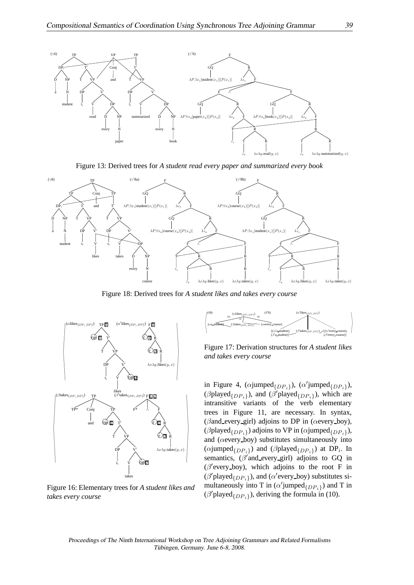

Figure 13: Derived trees for *A student read every paper and summarized every book*



Figure 18: Derived trees for *A student likes and takes every course*



Figure 16: Elementary trees for *A student likes and takes every course*



Figure 17: Derivation structures for *A student likes and takes every course*

( $\beta$ played<sub>{DPi}</sub>), and ( $\beta'$ played<sub>{DPi}</sub>), which are in Figure 4, ( $\alpha$ jumped $\{DP_i\}$ ), ( $\alpha'$ jumped $\{DP_i\}$ ), intransitive variants of the verb elementary trees in Figure 11, are necessary. In syntax, ( $\beta$ and every girl) adjoins to DP in ( $\alpha$ every boy), ( $\beta$ played $_{\{DP_i\}}$ ) adjoins to VP in ( $\alpha$ jumped $_{\{DP_i\}}$ ), and (αevery boy) substitutes simultaneously into ( $\alpha$ jumped $\{DP_i\}$ ) and ( $\beta$ played $\{DP_i\}$ ) at DP<sub>i</sub>. In semantics,  $(\beta'$  and every girl) adjoins to GQ in  $(\beta'$ every\_boy), which adjoins to the root F in  $(\beta'$ played $_{\{DP_i\}})$ , and ( $\alpha'$ every\_boy) substitutes simultaneously into T in  $(\alpha'$ jumped $_{\{DP_i\}})$  and T in  $(\beta'$ played $_{\{DP_i\}})$ , deriving the formula in (10).